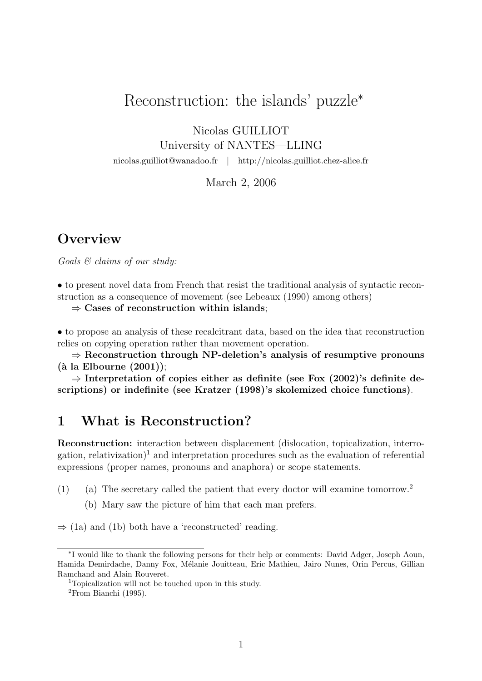# Reconstruction: the islands' puzzle<sup>\*</sup>

Nicolas GUILLIOT

University of NANTES—LLING

nicolas.guilliot@wanadoo.fr | http://nicolas.guilliot.chez-alice.fr

March 2, 2006

# **Overview**

Goals & claims of our study:

• to present novel data from French that resist the traditional analysis of syntactic reconstruction as a consequence of movement (see Lebeaux (1990) among others)

 $\Rightarrow$  Cases of reconstruction within islands:

• to propose an analysis of these recalcitrant data, based on the idea that reconstruction relies on copying operation rather than movement operation.

 $\Rightarrow$  Reconstruction through NP-deletion's analysis of resumptive pronouns  $(\text{à la Elbourne } (2001));$ 

 $\Rightarrow$  Interpretation of copies either as definite (see Fox (2002)'s definite descriptions) or indefinite (see Kratzer (1998)'s skolemized choice functions).

# 1 What is Reconstruction?

Reconstruction: interaction between displacement (dislocation, topicalization, interrogation, relativization)<sup>1</sup> and interpretation procedures such as the evaluation of referential expressions (proper names, pronouns and anaphora) or scope statements.

- (1) (a) The secretary called the patient that every doctor will examine tomorrow.<sup>2</sup>
	- (b) Mary saw the picture of him that each man prefers.

 $\Rightarrow$  (1a) and (1b) both have a 'reconstructed' reading.

<sup>∗</sup> I would like to thank the following persons for their help or comments: David Adger, Joseph Aoun, Hamida Demirdache, Danny Fox, Mélanie Jouitteau, Eric Mathieu, Jairo Nunes, Orin Percus, Gillian Ramchand and Alain Rouveret.

<sup>1</sup>Topicalization will not be touched upon in this study.

<sup>2</sup>From Bianchi (1995).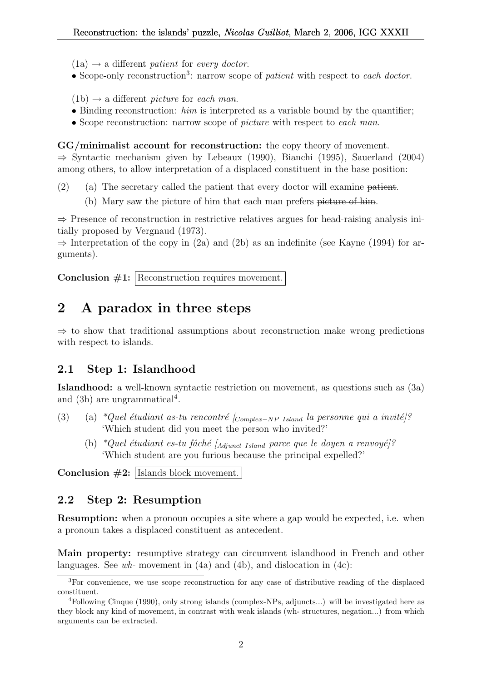- $(1a) \rightarrow a$  different patient for every doctor.
- Scope-only reconstruction<sup>3</sup>: narrow scope of *patient* with respect to each doctor.
- $(1b) \rightarrow a$  different *picture* for each man.
- Binding reconstruction:  $him$  is interpreted as a variable bound by the quantifier;
- Scope reconstruction: narrow scope of *picture* with respect to each man.

GG/minimalist account for reconstruction: the copy theory of movement. ⇒ Syntactic mechanism given by Lebeaux (1990), Bianchi (1995), Sauerland (2004) among others, to allow interpretation of a displaced constituent in the base position:

- (2) (a) The secretary called the patient that every doctor will examine patient.
	- (b) Mary saw the picture of him that each man prefers picture of him.

 $\Rightarrow$  Presence of reconstruction in restrictive relatives argues for head-raising analysis initially proposed by Vergnaud (1973).

 $\Rightarrow$  Interpretation of the copy in (2a) and (2b) as an indefinite (see Kayne (1994) for arguments).

Conclusion  $#1:$  Reconstruction requires movement.

# 2 A paradox in three steps

 $\Rightarrow$  to show that traditional assumptions about reconstruction make wrong predictions with respect to islands.

#### 2.1 Step 1: Islandhood

Islandhood: a well-known syntactic restriction on movement, as questions such as (3a) and  $(3b)$  are ungrammatical<sup>4</sup>.

- (3) (a) \*Quel étudiant as-tu rencontré  $_{Complex-NP}$  Island la personne qui a invité]? 'Which student did you meet the person who invited?'
	- (b) \*Quel étudiant es-tu fâché [ $_{Adiunct\ Island}$  parce que le doyen a renvoyé]? 'Which student are you furious because the principal expelled?'

Conclusion  $#2:$  Islands block movement.

#### 2.2 Step 2: Resumption

Resumption: when a pronoun occupies a site where a gap would be expected, i.e. when a pronoun takes a displaced constituent as antecedent.

Main property: resumptive strategy can circumvent islandhood in French and other languages. See  $wh$ - movement in  $(4a)$  and  $(4b)$ , and dislocation in  $(4c)$ :

<sup>3</sup>For convenience, we use scope reconstruction for any case of distributive reading of the displaced constituent.

<sup>4</sup>Following Cinque (1990), only strong islands (complex-NPs, adjuncts...) will be investigated here as they block any kind of movement, in contrast with weak islands (wh- structures, negation...) from which arguments can be extracted.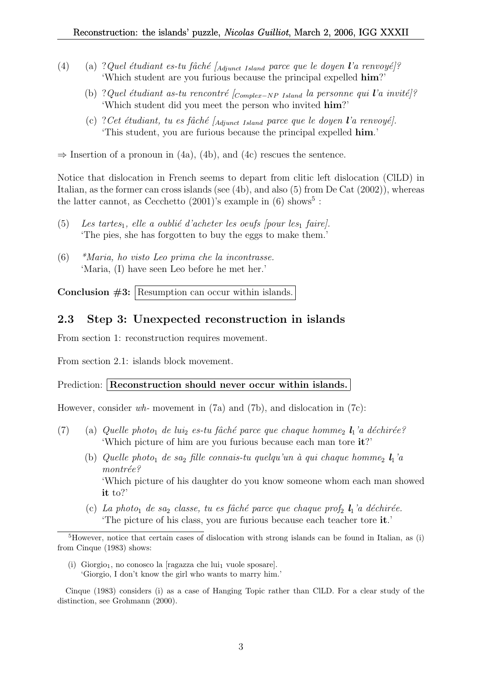- (4) (a) ?Quel étudiant es-tu fâché [ $_{Adi$ unct Island parce que le doyen l'a renvoyé]? 'Which student are you furious because the principal expelled him?'
	- (b) ?Quel ´etudiant as-tu rencontr´e [Complex−NP Island la personne qui l'a invit´e]? 'Which student did you meet the person who invited him?'
	- (c) ? Cet étudiant, tu es fâché  $A_{dipunct$  Island parce que le doyen l'a renvoyé]. 'This student, you are furious because the principal expelled him.'

 $\Rightarrow$  Insertion of a pronoun in (4a), (4b), and (4c) rescues the sentence.

Notice that dislocation in French seems to depart from clitic left dislocation (ClLD) in Italian, as the former can cross islands (see (4b), and also (5) from De Cat (2002)), whereas the latter cannot, as Cecchetto  $(2001)$ 's example in  $(6)$  shows<sup>5</sup>:

- (5) Les tartes<sub>1</sub>, elle a oublié d'acheter les oeufs  $[pour les<sub>1</sub> faire].$ 'The pies, she has forgotten to buy the eggs to make them.'
- (6) \*Maria, ho visto Leo prima che la incontrasse. 'Maria, (I) have seen Leo before he met her.'

Conclusion  $#3$ : Resumption can occur within islands.

#### 2.3 Step 3: Unexpected reconstruction in islands

From section 1: reconstruction requires movement.

From section 2.1: islands block movement.

#### Prediction: Reconstruction should never occur within islands.

However, consider wh- movement in (7a) and (7b), and dislocation in (7c):

- (7) (a) Quelle photo<sub>1</sub> de lui<sub>2</sub> es-tu fâché parce que chaque homme<sub>2</sub>  $\mathbf{l}_1$ 'a déchirée? 'Which picture of him are you furious because each man tore it?'
	- (b) Quelle photo<sub>1</sub> de sa<sub>2</sub> fille connais-tu quelqu'un à qui chaque homme<sub>2</sub>  $\mathbf{l}_1$ 'a  $montrée?$ 'Which picture of his daughter do you know someone whom each man showed it to?'
	- (c) La photo<sub>1</sub> de sa<sub>2</sub> classe, tu es fâché parce que chaque prof<sub>2</sub>  $\mathbf{l}_1$ 'a déchirée. 'The picture of his class, you are furious because each teacher tore it.'

(i) Giorgio<sub>1</sub>, no conosco la  $[ragazza$  che lui<sub>1</sub> vuole sposare. 'Giorgio, I don't know the girl who wants to marry him.'

Cinque (1983) considers (i) as a case of Hanging Topic rather than ClLD. For a clear study of the distinction, see Grohmann (2000).

 $5$ However, notice that certain cases of dislocation with strong islands can be found in Italian, as (i) from Cinque (1983) shows: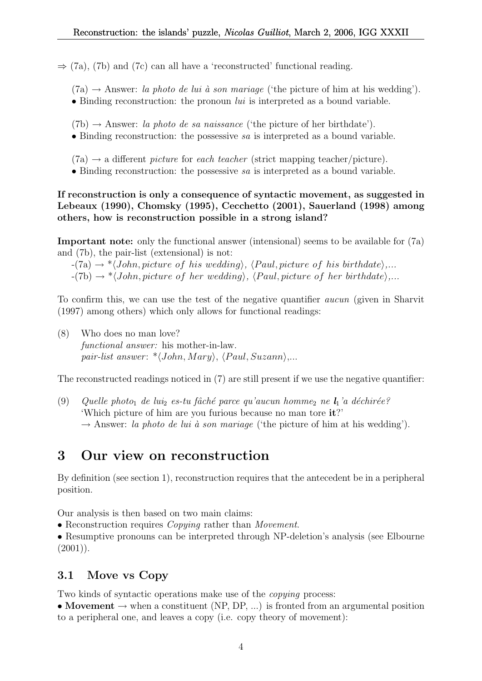$\Rightarrow$  (7a), (7b) and (7c) can all have a 'reconstructed' functional reading.

 $(7a) \rightarrow$  Answer: la photo de lui à son mariage ('the picture of him at his wedding').

• Binding reconstruction: the pronoun *lui* is interpreted as a bound variable.

 $(7b) \rightarrow$  Answer: *la photo de sa naissance* ('the picture of her birthdate').

• Binding reconstruction: the possessive sa is interpreted as a bound variable.

 $(7a) \rightarrow a$  different *picture* for *each teacher* (strict mapping teacher/picture).

• Binding reconstruction: the possessive sa is interpreted as a bound variable.

If reconstruction is only a consequence of syntactic movement, as suggested in Lebeaux (1990), Chomsky (1995), Cecchetto (2001), Sauerland (1998) among others, how is reconstruction possible in a strong island?

Important note: only the functional answer (intensional) seems to be available for (7a) and (7b), the pair-list (extensional) is not:

 $-(7a) \rightarrow * \langle John, picture \space of \space his \space wedding \rangle, \langle Paul, picture \space of \space his \space birthdate \rangle...$ 

 $-(7b) \rightarrow * \langle John, picture \ of \ her \ wedding \rangle, \langle Paul, picture \ of \ her \ birthdate \rangle,...$ 

To confirm this, we can use the test of the negative quantifier aucun (given in Sharvit (1997) among others) which only allows for functional readings:

(8) Who does no man love? functional answer: his mother-in-law. pair-list answer:  $\langle John, Mary \rangle$ ,  $\langle Paul, Suzanne \rangle$ ...

The reconstructed readings noticed in (7) are still present if we use the negative quantifier:

(9) Quelle photo<sub>1</sub> de lui<sub>2</sub> es-tu fâché parce qu'aucun homme<sub>2</sub> ne  $\mathbf{l}_1$ 'a déchirée? 'Which picture of him are you furious because no man tore it?'  $\rightarrow$  Answer: la photo de lui à son mariage ('the picture of him at his wedding').

# 3 Our view on reconstruction

By definition (see section 1), reconstruction requires that the antecedent be in a peripheral position.

Our analysis is then based on two main claims:

• Reconstruction requires *Copying* rather than *Movement*.

• Resumptive pronouns can be interpreted through NP-deletion's analysis (see Elbourne  $(2001)$ ).

## 3.1 Move vs Copy

Two kinds of syntactic operations make use of the copying process:

• Movement  $\rightarrow$  when a constituent (NP, DP, ...) is fronted from an argumental position to a peripheral one, and leaves a copy (i.e. copy theory of movement):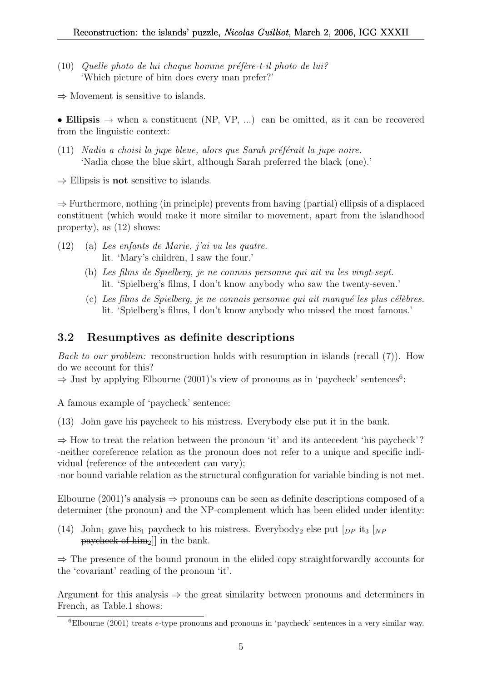(10) Quelle photo de lui chaque homme préfère-t-il photo de lui? 'Which picture of him does every man prefer?'

 $\Rightarrow$  Movement is sensitive to islands.

• Ellipsis  $\rightarrow$  when a constituent (NP, VP, ...) can be omitted, as it can be recovered from the linguistic context:

- (11) Nadia a choisi la jupe bleue, alors que Sarah préférait la  $\frac{1}{2}$ upe noire. 'Nadia chose the blue skirt, although Sarah preferred the black (one).'
- $\Rightarrow$  Ellipsis is **not** sensitive to islands.

⇒ Furthermore, nothing (in principle) prevents from having (partial) ellipsis of a displaced constituent (which would make it more similar to movement, apart from the islandhood property), as (12) shows:

- (12) (a) Les enfants de Marie, j'ai vu les quatre. lit. 'Mary's children, I saw the four.'
	- (b) Les films de Spielberg, je ne connais personne qui ait vu les vingt-sept. lit. 'Spielberg's films, I don't know anybody who saw the twenty-seven.'
	- $(c)$  Les films de Spielberg, je ne connais personne qui ait manqué les plus célèbres. lit. 'Spielberg's films, I don't know anybody who missed the most famous.'

## 3.2 Resumptives as definite descriptions

*Back to our problem:* reconstruction holds with resumption in islands (recall  $(7)$ ). How do we account for this?

 $\Rightarrow$  Just by applying Elbourne (2001)'s view of pronouns as in 'paycheck' sentences<sup>6</sup>:

A famous example of 'paycheck' sentence:

(13) John gave his paycheck to his mistress. Everybody else put it in the bank.

 $\Rightarrow$  How to treat the relation between the pronoun 'it' and its antecedent 'his paycheck'? -neither coreference relation as the pronoun does not refer to a unique and specific individual (reference of the antecedent can vary);

-nor bound variable relation as the structural configuration for variable binding is not met.

Elbourne (2001)'s analysis  $\Rightarrow$  pronouns can be seen as definite descriptions composed of a determiner (the pronoun) and the NP-complement which has been elided under identity:

(14) John<sub>1</sub> gave his<sub>1</sub> paycheck to his mistress. Everybody<sub>2</sub> else put  $\lceil_{DP}$  it<sub>3</sub>  $\lceil_{NP}$ paycheck of  $\lim_{2}$ ] in the bank.

⇒ The presence of the bound pronoun in the elided copy straightforwardly accounts for the 'covariant' reading of the pronoun 'it'.

Argument for this analysis  $\Rightarrow$  the great similarity between pronouns and determiners in French, as Table.1 shows:

 ${}^{6}$ Elbourne (2001) treats e-type pronouns and pronouns in 'paycheck' sentences in a very similar way.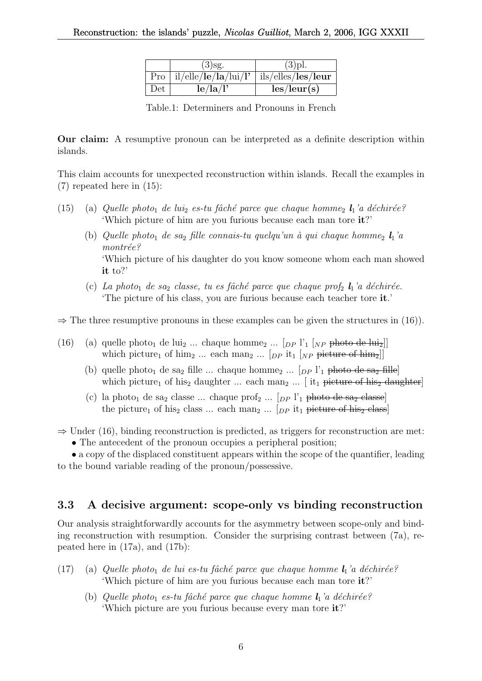|     | $(3)$ sg.                       | $(3)$ pl.                   |
|-----|---------------------------------|-----------------------------|
|     | Pro $\int$ il/elle/le/la/lui/l' | ils/elles/les/leur          |
| Det | le/la/l'                        | $\text{les}/\text{leur}(s)$ |

Table.1: Determiners and Pronouns in French

Our claim: A resumptive pronoun can be interpreted as a definite description within islands.

This claim accounts for unexpected reconstruction within islands. Recall the examples in (7) repeated here in (15):

- (15) (a) Quelle photo<sub>1</sub> de lui<sub>2</sub> es-tu fâché parce que chaque homme<sub>2</sub>  $\mathbf{l}_1$ 'a déchirée? 'Which picture of him are you furious because each man tore it?'
	- (b) Quelle photo<sub>1</sub> de sa<sub>2</sub> fille connais-tu quelqu'un à qui chaque homme<sub>2</sub>  $\mathbf{l}_1$ 'a  $montrée?$ 'Which picture of his daughter do you know someone whom each man showed it to?'
	- (c) La photo<sub>1</sub> de saz classe, tu es fâché parce que chaque prof<sub>2</sub>  $\mathbf{l}_1$ 'a déchirée. 'The picture of his class, you are furious because each teacher tore it.'

 $\Rightarrow$  The three resumptive pronouns in these examples can be given the structures in (16)).

- (16) (a) quelle photo<sub>1</sub> de lui<sub>2</sub> ... chaque homme<sub>2</sub> ...  $\lceil_{DP} \rceil$ <sup>1</sup><sub>1</sub>  $\lceil_{NP}$  photo de lui<sub>2</sub> $\lceil$ which picture<sub>1</sub> of him<sub>2</sub> ... each man<sub>2</sub> ...  $[p \text{p } it_1 | NP \text{ picture of him}_2]$ 
	- (b) quelle photo<sub>1</sub> de sa<sub>2</sub> fille ... chaque homme<sub>2</sub> ...  $\lceil_{DP} \rceil$ <sup>1</sup><sub>1</sub> photo de sa<sub>2</sub> fille which picture<sub>1</sub> of his<sub>2</sub> daughter ... each man<sub>2</sub> ... [it<sub>1</sub> picture of his<sub>2</sub> daughter]
	- (c) la photo<sub>1</sub> de sa<sub>2</sub> classe ... chaque prof<sub>2</sub> ...  $[p P]_1$  photo de sa<sub>2</sub> classe the picture<sub>1</sub> of his<sub>2</sub> class ... each man<sub>2</sub> ...  $[p \text{p } it_1 \text{ picture of his}_2 \text{ class}]$

 $\Rightarrow$  Under (16), binding reconstruction is predicted, as triggers for reconstruction are met:

• The antecedent of the pronoun occupies a peripheral position;

• a copy of the displaced constituent appears within the scope of the quantifier, leading to the bound variable reading of the pronoun/possessive.

## 3.3 A decisive argument: scope-only vs binding reconstruction

Our analysis straightforwardly accounts for the asymmetry between scope-only and binding reconstruction with resumption. Consider the surprising contrast between (7a), repeated here in (17a), and (17b):

- (17) (a) Quelle photo<sub>1</sub> de lui es-tu fâché parce que chaque homme  $l_1$ 'a déchirée? 'Which picture of him are you furious because each man tore it?'
	- (b) Quelle photo<sub>1</sub> es-tu fâché parce que chaque homme  $l_1$ 'a déchirée? 'Which picture are you furious because every man tore it?'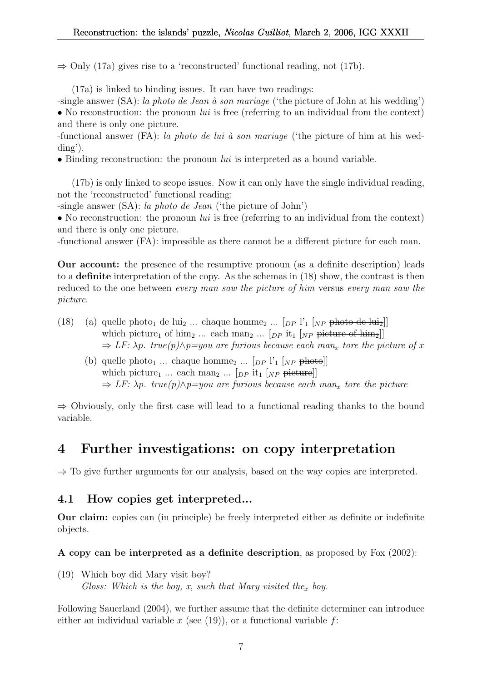$\Rightarrow$  Only (17a) gives rise to a 'reconstructed' functional reading, not (17b).

(17a) is linked to binding issues. It can have two readings:

-single answer  $(SA)$ : la photo de Jean à son mariage ('the picture of John at his wedding') • No reconstruction: the pronoun *lui* is free (referring to an individual from the context) and there is only one picture.

-functional answer (FA): la photo de lui à son mariage ('the picture of him at his wedding').

• Binding reconstruction: the pronoun  $lui$  is interpreted as a bound variable.

(17b) is only linked to scope issues. Now it can only have the single individual reading, not the 'reconstructed' functional reading:

-single answer (SA): la photo de Jean ('the picture of John')

• No reconstruction: the pronoun  $lui$  is free (referring to an individual from the context) and there is only one picture.

-functional answer (FA): impossible as there cannot be a different picture for each man.

Our account: the presence of the resumptive pronoun (as a definite description) leads to a definite interpretation of the copy. As the schemas in (18) show, the contrast is then reduced to the one between every man saw the picture of him versus every man saw the picture.

- (18) (a) quelle photo<sub>1</sub> de lui<sub>2</sub> ... chaque homme<sub>2</sub> ...  $\lceil_{DP} \rceil$ <sup>'</sup><sub>1</sub>  $\lceil_{NP}$  photo de lui<sub>2</sub> $\lceil$ which picture<sub>1</sub> of him<sub>2</sub> ... each man<sub>2</sub> ...  $[p_P$  it<sub>1</sub>  $N_P$  picture of him<sub>2</sub>]  $\Rightarrow$  LF:  $\lambda p$ . true(p) $\wedge p =$ you are furious because each man<sub>x</sub> tore the picture of x
	- (b) quelle photo<sub>1</sub> ... chaque homme<sub>2</sub> ... [ $_{DP}$  l'<sub>1</sub> [ $_{NP}$  photo]] which picture<sub>1</sub> ... each man<sub>2</sub> ...  $[p_P$  it<sub>1</sub>  $N_P$  picture  $\Rightarrow$  LF:  $\lambda p$ . true(p) $\wedge p =$ you are furious because each man<sub>x</sub> tore the picture

 $\Rightarrow$  Obviously, only the first case will lead to a functional reading thanks to the bound variable.

# 4 Further investigations: on copy interpretation

 $\Rightarrow$  To give further arguments for our analysis, based on the way copies are interpreted.

## 4.1 How copies get interpreted...

Our claim: copies can (in principle) be freely interpreted either as definite or indefinite objects.

A copy can be interpreted as a definite description, as proposed by Fox (2002):

(19) Which boy did Mary visit  $\frac{100}{2}$ Gloss: Which is the boy, x, such that Mary visited the<sub>x</sub> boy.

Following Sauerland (2004), we further assume that the definite determiner can introduce either an individual variable x (see  $(19)$ ), or a functional variable f: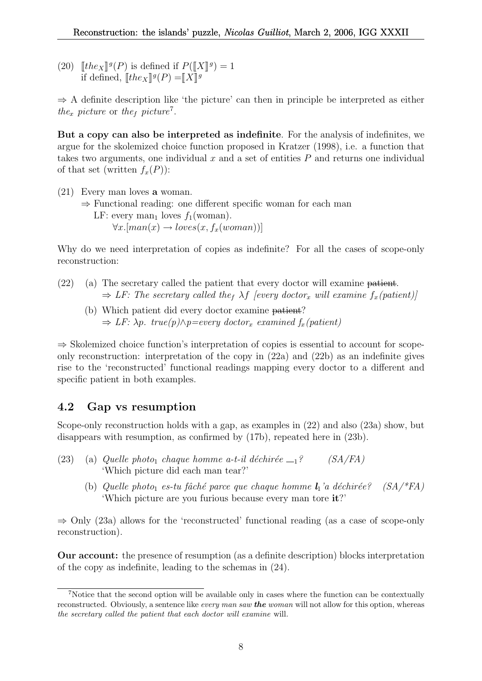(20)  $[the_X]^{g}(P)$  is defined if  $P([X]^{g}) = 1$ <br>if defined  $[the_X]^{g}(P) = x \cdot y$ if defined,  $[\![the_X]\!]^g(P) = [\![X]\!]^g$ 

 $\Rightarrow$  A definite description like 'the picture' can then in principle be interpreted as either the<sub>x</sub> picture or the<sub>f</sub> picture<sup>7</sup>.

But a copy can also be interpreted as indefinite. For the analysis of indefinites, we argue for the skolemized choice function proposed in Kratzer (1998), i.e. a function that takes two arguments, one individual  $x$  and a set of entities  $P$  and returns one individual of that set (written  $f_x(P)$ ):

- (21) Every man loves a woman.
	- ⇒ Functional reading: one different specific woman for each man LF: every man<sub>1</sub> loves  $f_1(\text{woman})$ .  $\forall x. [man(x) \rightarrow loves(x, f_x(woman))]$

Why do we need interpretation of copies as indefinite? For all the cases of scope-only reconstruction:

- (22) (a) The secretary called the patient that every doctor will examine patient.  $\Rightarrow$  LF: The secretary called the<sub>f</sub>  $\lambda f$  [every doctor<sub>x</sub> will examine  $f_x(pation)$ ]
	- (b) Which patient did every doctor examine patient?  $\Rightarrow$  LF:  $\lambda p$ . true(p) $\wedge p =$ every doctor<sub>x</sub> examined f<sub>x</sub>(patient)

⇒ Skolemized choice function's interpretation of copies is essential to account for scopeonly reconstruction: interpretation of the copy in (22a) and (22b) as an indefinite gives rise to the 'reconstructed' functional readings mapping every doctor to a different and specific patient in both examples.

#### 4.2 Gap vs resumption

Scope-only reconstruction holds with a gap, as examples in (22) and also (23a) show, but disappears with resumption, as confirmed by (17b), repeated here in (23b).

- (23) (a) Quelle photo<sub>1</sub> chaque homme a-t-il déchirée  $-1$ ? (SA/FA) 'Which picture did each man tear?'
	- (b) Quelle photo<sub>1</sub> es-tu fâché parce que chaque homme  $l_1$ 'a déchirée? (SA/\*FA) 'Which picture are you furious because every man tore it?'

 $\Rightarrow$  Only (23a) allows for the 'reconstructed' functional reading (as a case of scope-only reconstruction).

Our account: the presence of resumption (as a definite description) blocks interpretation of the copy as indefinite, leading to the schemas in (24).

<sup>&</sup>lt;sup>7</sup>Notice that the second option will be available only in cases where the function can be contextually reconstructed. Obviously, a sentence like every man saw **the** woman will not allow for this option, whereas the secretary called the patient that each doctor will examine will.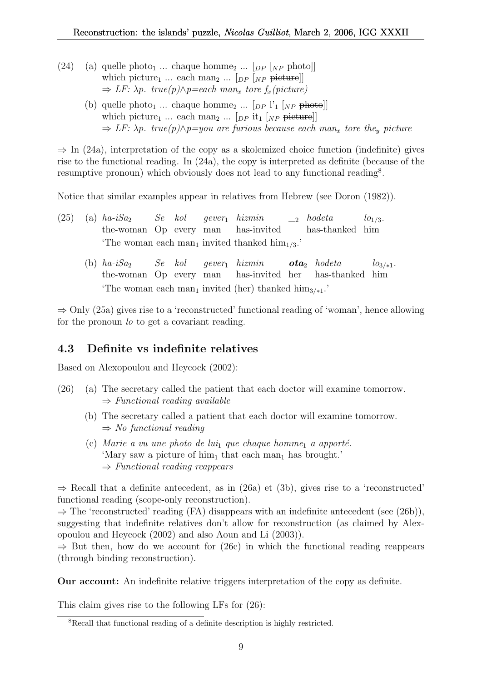- (24) (a) quelle photo<sub>1</sub> ... chaque homme<sub>2</sub> ...  $[p \sim p \rightarrow +b \rightarrow +b]$ which picture<sub>1</sub> ... each man<sub>2</sub> ...  $\lceil_{DP} \rceil_{NP}$  picture]]  $\Rightarrow$  LF:  $\lambda p$ . true(p) $\wedge p =$ each man<sub>x</sub> tore f<sub>x</sub>(picture)
	- (b) quelle photo<sub>1</sub> ... chaque homme<sub>2</sub> ...  $[p P']_1 [NP \text{ photo}]$ which picture<sub>1</sub> ... each man<sub>2</sub> ... [ $_{DP}$  it<sub>1</sub> [ $_{NP}$  picture]]  $\Rightarrow$  LF:  $\lambda p$ . true(p) $\wedge p =$ you are furious because each man<sub>x</sub> tore the<sub>y</sub> picture

 $\Rightarrow$  In (24a), interpretation of the copy as a skolemized choice function (indefinite) gives rise to the functional reading. In (24a), the copy is interpreted as definite (because of the resumptive pronoun) which obviously does not lead to any functional reading<sup>8</sup>.

Notice that similar examples appear in relatives from Hebrew (see Doron (1982)).

|  |  |  | (25) (a) $ha-iSa_2$ Se kol gever <sub>1</sub> hizmin $\qquad_2$ hodeta $lo_{1/3}$ . |  |
|--|--|--|-------------------------------------------------------------------------------------|--|
|  |  |  | the-woman Op every man has-invited has-thanked him                                  |  |
|  |  |  | The woman each man <sub>1</sub> invited thanked $\lim_{1/3}$ .                      |  |

(b)  $ha-iSa_2$ the-woman Op every man Se kol  $gever_1$  hizmin has-invited her  $ota<sub>2</sub>$  hodeta has-thanked him  $log_{1*1}$ . 'The woman each man<sub>1</sub> invited (her) thanked him<sub>3/\*1</sub>.'

⇒ Only (25a) gives rise to a 'reconstructed' functional reading of 'woman', hence allowing for the pronoun *lo* to get a covariant reading.

## 4.3 Definite vs indefinite relatives

Based on Alexopoulou and Heycock (2002):

- (26) (a) The secretary called the patient that each doctor will examine tomorrow.  $\Rightarrow$  Functional reading available
	- (b) The secretary called a patient that each doctor will examine tomorrow.  $\Rightarrow$  No functional reading
	- (c) Marie a vu une photo de lui<sub>1</sub> que chaque homme<sub>1</sub> a apporté. 'Mary saw a picture of  $\lim_1$  that each man<sub>1</sub> has brought.'  $\Rightarrow$  Functional reading reappears

 $\Rightarrow$  Recall that a definite antecedent, as in (26a) et (3b), gives rise to a 'reconstructed' functional reading (scope-only reconstruction).

 $\Rightarrow$  The 'reconstructed' reading (FA) disappears with an indefinite antecedent (see (26b)), suggesting that indefinite relatives don't allow for reconstruction (as claimed by Alexopoulou and Heycock (2002) and also Aoun and Li (2003)).

 $\Rightarrow$  But then, how do we account for (26c) in which the functional reading reappears (through binding reconstruction).

Our account: An indefinite relative triggers interpretation of the copy as definite.

This claim gives rise to the following LFs for (26):

<sup>8</sup>Recall that functional reading of a definite description is highly restricted.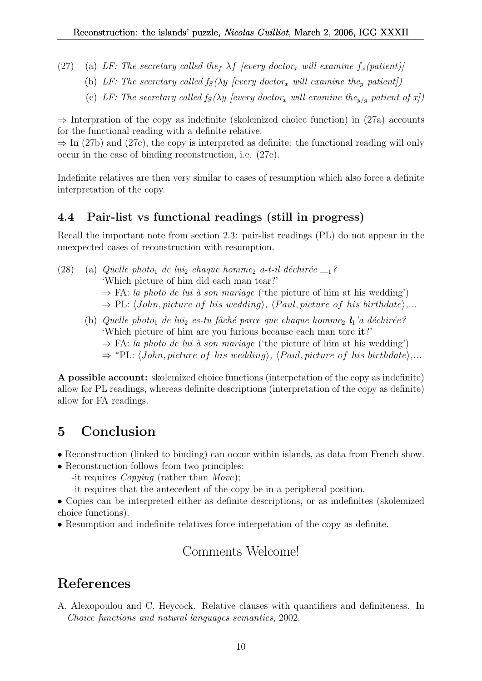- (27) (a) LF: The secretary called the  $\lambda f$  [every doctor<sub>x</sub> will examine  $f_x$ (patient)]
	- (b) LF: The secretary called  $f_S(\lambda y$  [every doctor<sub>x</sub> will examine the<sub>y</sub> patient])
	- (c) LF: The secretary called  $f_S(\lambda y$  [every doctor<sub>x</sub> will examine the<sub>y/g</sub> patient of x])

 $\Rightarrow$  Interpration of the copy as indefinite (skolemized choice function) in (27a) accounts for the functional reading with a definite relative.

 $\Rightarrow$  In (27b) and (27c), the copy is interpreted as definite: the functional reading will only occur in the case of binding reconstruction, i.e. (27c).

Indefinite relatives are then very similar to cases of resumption which also force a definite interpretation of the copy.

## 4.4 Pair-list vs functional readings (still in progress)

Recall the important note from section 2.3: pair-list readings (PL) do not appear in the unexpected cases of reconstruction with resumption.

(28) (a) Quelle photo<sub>1</sub> de lui<sub>2</sub> chaque homme<sub>2</sub> a-t-il déchirée  $-1$ ? 'Which picture of him did each man tear?'  $\Rightarrow$  FA: la photo de lui à son mariage ('the picture of him at his wedding')  $\Rightarrow$  PL:  $\langle John, picture \ of \ his \ wedding \rangle$ ,  $\langle Paul, picture \ of \ his \ birthdate \rangle$ ... (b) Quelle photo<sub>1</sub> de lui<sub>2</sub> es-tu fâché parce que chaque homme<sub>2</sub>  $l_1$ 'a déchirée? 'Which picture of him are you furious because each man tore it?'  $\Rightarrow$  FA: la photo de lui à son mariage ('the picture of him at his wedding')  $\Rightarrow$  \*PL:  $\langle John, picture \ of \ his \ wedding \rangle$ ,  $\langle Paul, picture \ of \ his \ birthdate \rangle$ ...

A possible account: skolemized choice functions (interpetation of the copy as indefinite) allow for PL readings, whereas definite descriptions (interpretation of the copy as definite) allow for FA readings.

# 5 Conclusion

- Reconstruction (linked to binding) can occur within islands, as data from French show.
- Reconstruction follows from two principles:
	- -it requires Copying (rather than Move);
	- -it requires that the antecedent of the copy be in a peripheral position.
- Copies can be interpreted either as definite descriptions, or as indefinites (skolemized choice functions).
- Resumption and indefinite relatives force interpetation of the copy as definite.

# Comments Welcome!

# References

A. Alexopoulou and C. Heycock. Relative clauses with quantifiers and definiteness. In Choice functions and natural languages semantics, 2002.